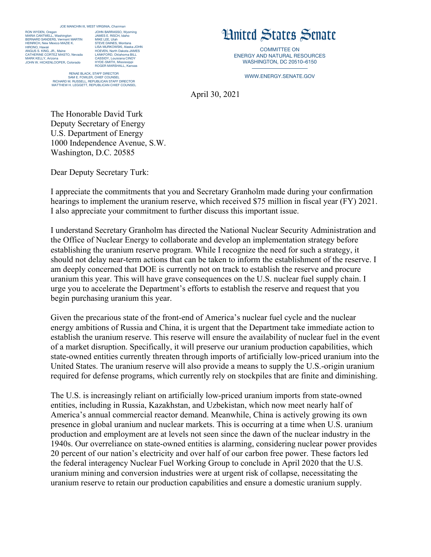## JOE MANCHIN III, WEST VIRGINIA, *Chairman*

RON WYDEN, Orego MARIA CANTWELL, Washington BERNARD SANDERS, Vermont MARTIN HEINRICH, New Mexico MAZIE K. HIRONO, Hawaii ANGUS S. KING, JR., Maine CATHERINE CORTEZ MASTO, Nevada MARK KELLY, Arizona JOHN W. HICKENLOOPER, Colorado

JOHN BARRASSO, Wyoming JAMES E. RISCH, Ida MIKE LEE, Utah STEVE DAINES, Montana LISA MURKOWSKI, Alaska JOHN HOEVEN, North Dakota JAMES LANKFORD, Oklahoma BILL CASSIDY, Louisiana CINDY HYDE-SMITH, Mississippi ROGER MARSHALL, Kansas RENAE BLACK, STAFF DIRECTOR

SAM E. FOWLER, CHIEF COUNSEL RICHARD M. RUSSELL, REPUBLICAN STAFF DIRECTOR MATTHEW H. LEGGETT, REPUBLICAN CHIEF COUNSEL

## United States Senate

COMMITTEE ON ENERGY AND NATURAL RESOURCES WASHINGTON, DC 20510–6150

WWW.ENERGY.SENATE.GOV

April 30, 2021

The Honorable David Turk Deputy Secretary of Energy U.S. Department of Energy 1000 Independence Avenue, S.W. Washington, D.C. 20585

Dear Deputy Secretary Turk:

I appreciate the commitments that you and Secretary Granholm made during your confirmation hearings to implement the uranium reserve, which received \$75 million in fiscal year (FY) 2021. I also appreciate your commitment to further discuss this important issue.

I understand Secretary Granholm has directed the National Nuclear Security Administration and the Office of Nuclear Energy to collaborate and develop an implementation strategy before establishing the uranium reserve program. While I recognize the need for such a strategy, it should not delay near-term actions that can be taken to inform the establishment of the reserve. I am deeply concerned that DOE is currently not on track to establish the reserve and procure uranium this year. This will have grave consequences on the U.S. nuclear fuel supply chain. I urge you to accelerate the Department's efforts to establish the reserve and request that you begin purchasing uranium this year.

Given the precarious state of the front-end of America's nuclear fuel cycle and the nuclear energy ambitions of Russia and China, it is urgent that the Department take immediate action to establish the uranium reserve. This reserve will ensure the availability of nuclear fuel in the event of a market disruption. Specifically, it will preserve our uranium production capabilities, which state-owned entities currently threaten through imports of artificially low-priced uranium into the United States. The uranium reserve will also provide a means to supply the U.S.-origin uranium required for defense programs, which currently rely on stockpiles that are finite and diminishing.

The U.S. is increasingly reliant on artificially low-priced uranium imports from state-owned entities, including in Russia, Kazakhstan, and Uzbekistan, which now meet nearly half of America's annual commercial reactor demand. Meanwhile, China is actively growing its own presence in global uranium and nuclear markets. This is occurring at a time when U.S. uranium production and employment are at levels not seen since the dawn of the nuclear industry in the 1940s. Our overreliance on state-owned entities is alarming, considering nuclear power provides 20 percent of our nation's electricity and over half of our carbon free power. These factors led the federal interagency Nuclear Fuel Working Group to conclude in April 2020 that the U.S. uranium mining and conversion industries were at urgent risk of collapse, necessitating the uranium reserve to retain our production capabilities and ensure a domestic uranium supply.